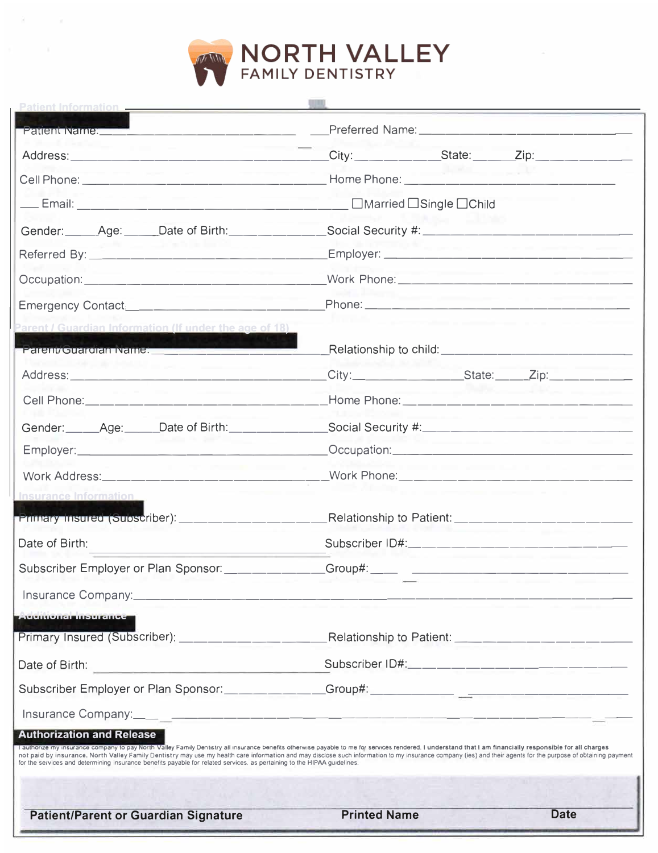

 $\mathbb{R}^n$  .  $\mathbb{R}^n \rightarrow \mathbb{R}^n$ 

|                                                                                                                                                                                                                                                                                                                                                                                                                                                                                                                                                                                             | Patient Name: The Contract of the Contract of the Preferred Name: The Contract of the Contract of the Contract of the Contract of the Contract of the Contract of the Contract of the Contract of the Contract of the Contract |                                                                                           |                                                                |
|---------------------------------------------------------------------------------------------------------------------------------------------------------------------------------------------------------------------------------------------------------------------------------------------------------------------------------------------------------------------------------------------------------------------------------------------------------------------------------------------------------------------------------------------------------------------------------------------|--------------------------------------------------------------------------------------------------------------------------------------------------------------------------------------------------------------------------------|-------------------------------------------------------------------------------------------|----------------------------------------------------------------|
| the company of the company                                                                                                                                                                                                                                                                                                                                                                                                                                                                                                                                                                  |                                                                                                                                                                                                                                |                                                                                           | _City:______________State:______Zip:______________             |
| contract to the property of                                                                                                                                                                                                                                                                                                                                                                                                                                                                                                                                                                 |                                                                                                                                                                                                                                |                                                                                           |                                                                |
|                                                                                                                                                                                                                                                                                                                                                                                                                                                                                                                                                                                             |                                                                                                                                                                                                                                |                                                                                           |                                                                |
| Gender: Age: Date of Birth: _________Social Security #: ________________________                                                                                                                                                                                                                                                                                                                                                                                                                                                                                                            |                                                                                                                                                                                                                                |                                                                                           |                                                                |
|                                                                                                                                                                                                                                                                                                                                                                                                                                                                                                                                                                                             |                                                                                                                                                                                                                                |                                                                                           | product the company of the company of the                      |
| the company's property of the company's                                                                                                                                                                                                                                                                                                                                                                                                                                                                                                                                                     |                                                                                                                                                                                                                                |                                                                                           | commenced and a second commenced and the commenced             |
|                                                                                                                                                                                                                                                                                                                                                                                                                                                                                                                                                                                             |                                                                                                                                                                                                                                |                                                                                           | the process of the contract of the contract of the contract of |
| Parent / Guardian Information (If under the age of 18)                                                                                                                                                                                                                                                                                                                                                                                                                                                                                                                                      |                                                                                                                                                                                                                                | the company of the company of the company of the company of the company of the company of |                                                                |
| Parent/Guardian Name:                                                                                                                                                                                                                                                                                                                                                                                                                                                                                                                                                                       |                                                                                                                                                                                                                                |                                                                                           |                                                                |
| the company's company's company's                                                                                                                                                                                                                                                                                                                                                                                                                                                                                                                                                           |                                                                                                                                                                                                                                |                                                                                           |                                                                |
| Cell Phone: __________________________________Home Phone: ______________________                                                                                                                                                                                                                                                                                                                                                                                                                                                                                                            |                                                                                                                                                                                                                                |                                                                                           |                                                                |
| Gender: _____Age: _____Date of Birth: ________________Social Security #: ___________________________                                                                                                                                                                                                                                                                                                                                                                                                                                                                                        |                                                                                                                                                                                                                                |                                                                                           |                                                                |
|                                                                                                                                                                                                                                                                                                                                                                                                                                                                                                                                                                                             |                                                                                                                                                                                                                                | _______                                                                                   |                                                                |
| the commence of the comment<br>Work Address:_______________________________Work Phone:_________________________                                                                                                                                                                                                                                                                                                                                                                                                                                                                             |                                                                                                                                                                                                                                |                                                                                           | the property of the control of the con-                        |
| <b>Insurance Information</b>                                                                                                                                                                                                                                                                                                                                                                                                                                                                                                                                                                |                                                                                                                                                                                                                                |                                                                                           |                                                                |
| Primary insured (Subscriber): _____________________                                                                                                                                                                                                                                                                                                                                                                                                                                                                                                                                         |                                                                                                                                                                                                                                |                                                                                           | Relationship to Patient: ______________________                |
| Date of Birth:                                                                                                                                                                                                                                                                                                                                                                                                                                                                                                                                                                              |                                                                                                                                                                                                                                |                                                                                           | Subscriber ID#:______________________________                  |
| Subscriber Employer or Plan Sponsor: ____________Group#: _____ _________________                                                                                                                                                                                                                                                                                                                                                                                                                                                                                                            |                                                                                                                                                                                                                                |                                                                                           |                                                                |
| Insurance Company:________________                                                                                                                                                                                                                                                                                                                                                                                                                                                                                                                                                          |                                                                                                                                                                                                                                |                                                                                           |                                                                |
| <b>Eventonal insurance</b>                                                                                                                                                                                                                                                                                                                                                                                                                                                                                                                                                                  |                                                                                                                                                                                                                                |                                                                                           |                                                                |
|                                                                                                                                                                                                                                                                                                                                                                                                                                                                                                                                                                                             |                                                                                                                                                                                                                                |                                                                                           |                                                                |
|                                                                                                                                                                                                                                                                                                                                                                                                                                                                                                                                                                                             |                                                                                                                                                                                                                                |                                                                                           |                                                                |
| Subscriber Employer or Plan Sponsor: ____________Group#: _______________________                                                                                                                                                                                                                                                                                                                                                                                                                                                                                                            |                                                                                                                                                                                                                                |                                                                                           |                                                                |
|                                                                                                                                                                                                                                                                                                                                                                                                                                                                                                                                                                                             |                                                                                                                                                                                                                                |                                                                                           |                                                                |
| <b>Authorization and Release</b><br>I authorize my insurance company to pay North Valley Family Dentistry all insurance benefits otherwise payable to me for services rendered. I understand that I am financially responsible for all charges<br>not paid by insurance. North Valley Family Dentistry may use my health care information and may disclose such information to my insurance company (ies) and their agents for the purpose of obtaining payment<br>for the services and determining insurance benefits payable for related services, as pertaining to the HIPAA guidelines. |                                                                                                                                                                                                                                |                                                                                           |                                                                |
| <b>Patient/Parent or Guardian Signature</b>                                                                                                                                                                                                                                                                                                                                                                                                                                                                                                                                                 | <b>Printed Name</b>                                                                                                                                                                                                            |                                                                                           | <b>Date</b>                                                    |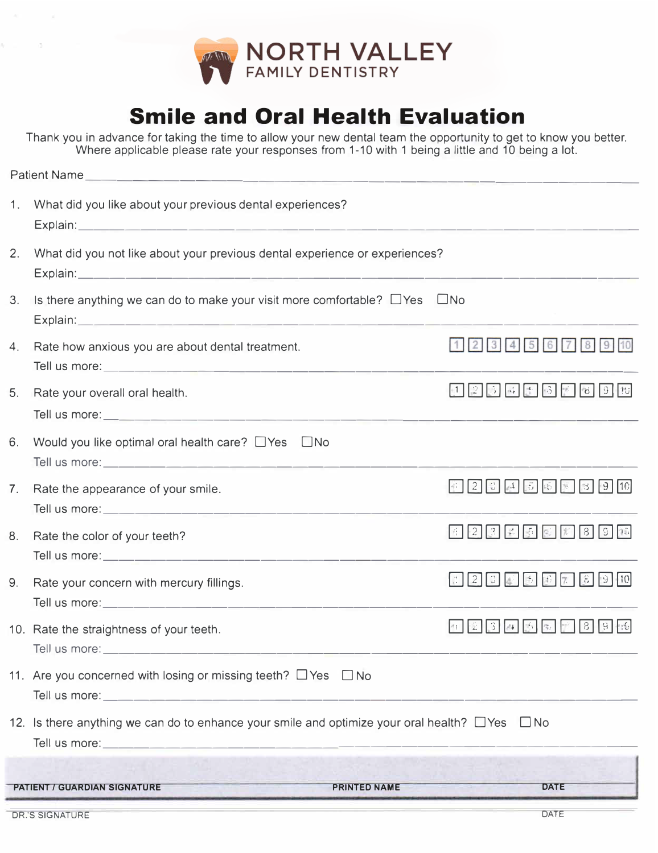

## **Smile and Oral Health Evaluation**

Thank you in advance for taking the time to allow your new dental team the opportunity to get to know you better. Where applicable please rate your responses from 1-10 with 1 being a little and 10 being a lot.

| $1_{\cdot}$    | What did you like about your previous dental experiences?                                                 |                                             |  |  |  |
|----------------|-----------------------------------------------------------------------------------------------------------|---------------------------------------------|--|--|--|
| 2.             | What did you not like about your previous dental experience or experiences?                               |                                             |  |  |  |
| 3.             | Is there anything we can do to make your visit more comfortable? $\Box$ Yes                               | $\Box$ No                                   |  |  |  |
| 4.             | Rate how anxious you are about dental treatment.                                                          | 1 2 3 4 5 6 7 8 9                           |  |  |  |
| 5.             | Rate your overall oral health.                                                                            | $12345$ $125$ $13$ $13$ $13$ $13$ $13$ $13$ |  |  |  |
| 6.             | Would you like optimal oral health care? $\Box$ Yes<br>$\Box$ No                                          |                                             |  |  |  |
| 7 <sub>1</sub> | Rate the appearance of your smile.                                                                        | <b>12</b> 3 4 5 6 7 3 9 10                  |  |  |  |
| 8.             | Rate the color of your teeth?                                                                             | 1234377890                                  |  |  |  |
| 9.             | Rate your concern with mercury fillings.                                                                  |                                             |  |  |  |
|                | 10. Rate the straightness of your teeth.                                                                  | 1234337896                                  |  |  |  |
|                | 11. Are you concerned with losing or missing teeth? $\Box$ Yes $\Box$ No                                  |                                             |  |  |  |
|                | 12. Is there anything we can do to enhance your smile and optimize your oral health? $\Box$ Yes $\Box$ No |                                             |  |  |  |
|                | <b>PRINTED NAME</b><br><b>PATIENT / GUARDIAN SIGNATURE</b>                                                | <b>DATE</b>                                 |  |  |  |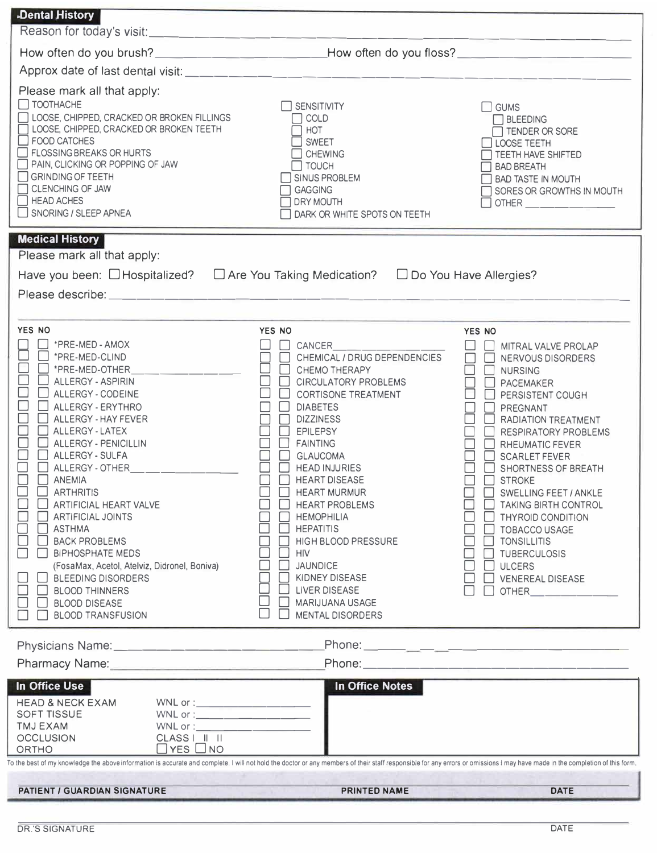| <b>Dental History</b>                                                                                                                                                                                                                                                                                                                                                                                                                                                                                                                                                                                                                                                                                          |                                                                                                                                                                                                                                                                                                                                                                                                                                                                                                                                                                                                                                 |                                                                                                                                                                                                                                                                                                                                                                                                                                                                                                                                                                                 |  |  |
|----------------------------------------------------------------------------------------------------------------------------------------------------------------------------------------------------------------------------------------------------------------------------------------------------------------------------------------------------------------------------------------------------------------------------------------------------------------------------------------------------------------------------------------------------------------------------------------------------------------------------------------------------------------------------------------------------------------|---------------------------------------------------------------------------------------------------------------------------------------------------------------------------------------------------------------------------------------------------------------------------------------------------------------------------------------------------------------------------------------------------------------------------------------------------------------------------------------------------------------------------------------------------------------------------------------------------------------------------------|---------------------------------------------------------------------------------------------------------------------------------------------------------------------------------------------------------------------------------------------------------------------------------------------------------------------------------------------------------------------------------------------------------------------------------------------------------------------------------------------------------------------------------------------------------------------------------|--|--|
|                                                                                                                                                                                                                                                                                                                                                                                                                                                                                                                                                                                                                                                                                                                |                                                                                                                                                                                                                                                                                                                                                                                                                                                                                                                                                                                                                                 |                                                                                                                                                                                                                                                                                                                                                                                                                                                                                                                                                                                 |  |  |
|                                                                                                                                                                                                                                                                                                                                                                                                                                                                                                                                                                                                                                                                                                                | How often do you brush? ____________________________How often do you floss? __________________________________                                                                                                                                                                                                                                                                                                                                                                                                                                                                                                                  |                                                                                                                                                                                                                                                                                                                                                                                                                                                                                                                                                                                 |  |  |
|                                                                                                                                                                                                                                                                                                                                                                                                                                                                                                                                                                                                                                                                                                                |                                                                                                                                                                                                                                                                                                                                                                                                                                                                                                                                                                                                                                 |                                                                                                                                                                                                                                                                                                                                                                                                                                                                                                                                                                                 |  |  |
| Please mark all that apply:<br>TOOTHACHE<br>LOOSE, CHIPPED, CRACKED OR BROKEN FILLINGS<br>[ LOOSE, CHIPPED, CRACKED OR BROKEN TEETH<br><b>FOOD CATCHES</b><br>FLOSSING BREAKS OR HURTS<br>PAIN, CLICKING OR POPPING OF JAW<br>GRINDING OF TEETH<br><b>CLENCHING OF JAW</b><br>$\Box$ HEAD ACHES<br>SNORING / SLEEP APNEA                                                                                                                                                                                                                                                                                                                                                                                       | $\Box$ SENSITIVITY<br>COLD<br>HOT<br><b>SWEET</b><br><b>CHEWING</b><br>$\Box$ TOUCH<br>SINUS PROBLEM<br><b>GAGGING</b><br><b>DRY MOUTH</b><br>DARK OR WHITE SPOTS ON TEETH                                                                                                                                                                                                                                                                                                                                                                                                                                                      | $\square$ GUMS<br>BLEEDING<br>TENDER OR SORE<br>LOOSE TEETH<br>TEETH HAVE SHIFTED<br><b>BAD BREATH</b><br><b>BAD TASTE IN MOUTH</b><br>SORES OR GROWTHS IN MOUTH                                                                                                                                                                                                                                                                                                                                                                                                                |  |  |
| <b>Medical History</b>                                                                                                                                                                                                                                                                                                                                                                                                                                                                                                                                                                                                                                                                                         |                                                                                                                                                                                                                                                                                                                                                                                                                                                                                                                                                                                                                                 |                                                                                                                                                                                                                                                                                                                                                                                                                                                                                                                                                                                 |  |  |
| Please mark all that apply:<br>Have you been: □Hospitalized? □ Are You Taking Medication? □ Do You Have Allergies?<br>YES NO<br>*PRE-MED - AMOX<br>*PRE-MED-CLIND<br>*PRE-MED-OTHER<br>ALLERGY - ASPIRIN<br>ALLERGY - CODEINE<br>ALLERGY - ERYTHRO<br>ALLERGY - HAY FEVER<br>ALLERGY - LATEX<br><b>ALLERGY - PENICILLIN</b><br>ALLERGY - SULFA<br>ALLERGY - OTHER <b>ALLER</b><br><b>ANEMIA</b><br><b>ARTHRITIS</b><br><b>ARTIFICIAL HEART VALVE</b><br><b>ARTIFICIAL JOINTS</b><br><b>ASTHMA</b><br><b>BACK PROBLEMS</b><br><b>BIPHOSPHATE MEDS</b><br>(FosaMax, Acetol, Atelviz, Didronel, Boniva)<br><b>BLEEDING DISORDERS</b><br><b>BLOOD THINNERS</b><br><b>BLOOD DISEASE</b><br><b>BLOOD TRANSFUSION</b> | YES NO<br><b>CANCER CANCER</b><br>CHEMICAL / DRUG DEPENDENCIES<br>□<br><b>CHEMO THERAPY</b><br><b>CIRCULATORY PROBLEMS</b><br>$\mathbf{1}$<br><b>CORTISONE TREATMENT</b><br><b>DIABETES</b><br>$\Box$<br><b>DIZZINESS</b><br>$\Box$<br><b>EPILEPSY</b><br>$\Box$<br><b>FAINTING</b><br>$\Box$<br><b>GLAUCOMA</b><br>$\Box$<br><b>HEAD INJURIES</b><br><b>HEART DISEASE</b><br>П<br><b>HEART MURMUR</b><br><b>HEART PROBLEMS</b><br><b>HEMOPHILIA</b><br><b>HEPATITIS</b><br><b>HIGH BLOOD PRESSURE</b><br>HIV<br><b>JAUNDICE</b><br>KIDNEY DISEASE<br><b>LIVER DISEASE</b><br><b>MARIJUANA USAGE</b><br><b>MENTAL DISORDERS</b> | YES NO<br>MITRAL VALVE PROLAP<br>П<br>NERVOUS DISORDERS<br>П<br>$\Box$<br><b>NURSING</b><br>$\Box$<br><b>PACEMAKER</b><br>PERSISTENT COUGH<br>PREGNANT<br>$\Box$ RADIATION TREATMENT<br>RESPIRATORY PROBLEMS<br>$\Box$<br>RHEUMATIC FEVER<br><b>SCARLET FEVER</b><br>SHORTNESS OF BREATH<br><b>STROKE</b><br><b>SWELLING FEET / ANKLE</b><br><b>TAKING BIRTH CONTROL</b><br><b>THYROID CONDITION</b><br><b>TOBACCO USAGE</b><br><b>TONSILLITIS</b><br><b>TUBERCULOSIS</b><br><b>ULCERS</b><br><b>VENEREAL DISEASE</b><br>OTHER <b>Andrew Street Street Street Street Street</b> |  |  |
|                                                                                                                                                                                                                                                                                                                                                                                                                                                                                                                                                                                                                                                                                                                |                                                                                                                                                                                                                                                                                                                                                                                                                                                                                                                                                                                                                                 |                                                                                                                                                                                                                                                                                                                                                                                                                                                                                                                                                                                 |  |  |
| Pharmacy Name: Mannel Mannel Mannel Mannel Mannel Mannel Mannel Mannel Mannel Mannel Mannel Mannel Mannel Manne                                                                                                                                                                                                                                                                                                                                                                                                                                                                                                                                                                                                |                                                                                                                                                                                                                                                                                                                                                                                                                                                                                                                                                                                                                                 |                                                                                                                                                                                                                                                                                                                                                                                                                                                                                                                                                                                 |  |  |
| In Office Use<br><b>HEAD &amp; NECK EXAM</b><br>$\begin{picture}(150,10) \put(0,0){\line(1,0){100}} \put(15,0){\line(1,0){100}} \put(15,0){\line(1,0){100}} \put(15,0){\line(1,0){100}} \put(15,0){\line(1,0){100}} \put(15,0){\line(1,0){100}} \put(15,0){\line(1,0){100}} \put(15,0){\line(1,0){100}} \put(15,0){\line(1,0){100}} \put(15,0){\line(1,0){100}} \put(15,0){\line(1,0){100}}$<br><b>SOFT TISSUE</b><br><b>TMJ EXAM</b><br>CLASS                                                                                                                                                                                                                                                                 | <b>In Office Notes</b>                                                                                                                                                                                                                                                                                                                                                                                                                                                                                                                                                                                                          |                                                                                                                                                                                                                                                                                                                                                                                                                                                                                                                                                                                 |  |  |
| <b>OCCLUSION</b><br>$\Box$ YES $\Box$ NO<br>ORTHO                                                                                                                                                                                                                                                                                                                                                                                                                                                                                                                                                                                                                                                              |                                                                                                                                                                                                                                                                                                                                                                                                                                                                                                                                                                                                                                 |                                                                                                                                                                                                                                                                                                                                                                                                                                                                                                                                                                                 |  |  |
| To the best of my knowledge the above information is accurate and complete. I will not hold the doctor or any members of their staff responsible for any errors or omissions I may have made in the completion of this form.                                                                                                                                                                                                                                                                                                                                                                                                                                                                                   |                                                                                                                                                                                                                                                                                                                                                                                                                                                                                                                                                                                                                                 |                                                                                                                                                                                                                                                                                                                                                                                                                                                                                                                                                                                 |  |  |
| <b>PATIENT / GUARDIAN SIGNATURE</b>                                                                                                                                                                                                                                                                                                                                                                                                                                                                                                                                                                                                                                                                            | <b>PRINTED NAME</b>                                                                                                                                                                                                                                                                                                                                                                                                                                                                                                                                                                                                             | <b>DATE</b>                                                                                                                                                                                                                                                                                                                                                                                                                                                                                                                                                                     |  |  |
|                                                                                                                                                                                                                                                                                                                                                                                                                                                                                                                                                                                                                                                                                                                |                                                                                                                                                                                                                                                                                                                                                                                                                                                                                                                                                                                                                                 |                                                                                                                                                                                                                                                                                                                                                                                                                                                                                                                                                                                 |  |  |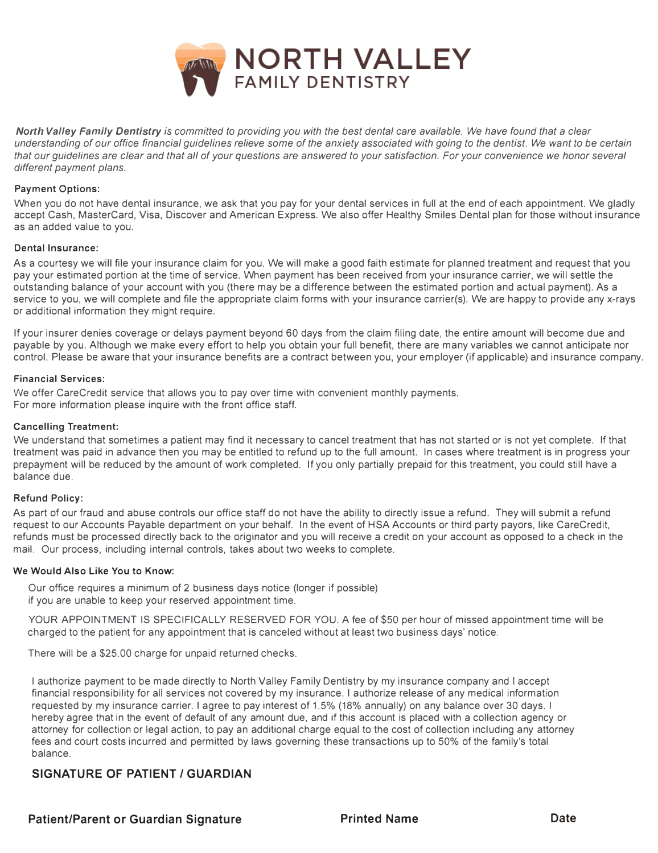

*North Valley Family Dentistry is committed to providing you with the best dental care available. We have found that a clear understanding of our office financial guidelines relieve some of the anxiety associated with going to the dentist. We want to be certain that our guidelines are clear and that all of your questions are answered to your satisfaction. For your convenience we honor several different payment plans.* 

#### **Payment Options:**

When you do not have dental insurance, we ask that you pay for your dental services in full at the end of each appointment. We gladly accept Cash, MasterCard, Visa, Discover and American Express. We also offer Healthy Smiles Dental plan for those without insurance as an added value to you.

#### **Dental Insurance:**

As a courtesy we will file your insurance claim for you. We will make a good faith estimate for planned treatment and request that you pay your estimated portion at the time of service. When payment has been received from your insurance carrier, we will settle the outstanding balance of your account with you (there may be a difference between the estimated portion and actual payment). As a service to you, we will complete and file the appropriate claim forms with your insurance carrier(s). We are happy to provide any x-rays or additional information they might require.

If your insurer denies coverage or delays payment beyond 60 days from the claim filing date, the entire amount will become due and payable by you. Although we make every effort to help you obtain your full benefit, there are many variables we cannot anticipate nor control. Please be aware that your insurance benefits are a contract between you, your employer (if applicable) and insurance company.

#### **Financial Services:**

We offer CareCredit service that allows you to pay over time with convenient monthly payments. For more information please inquire with the front office staff.

#### **Cancelling Treatment:**

We understand that sometimes a patient may find it necessary to cancel treatment that has not started or is not yet complete. If that treatment was paid in advance then you may be entitled to refund up to the full amount. In cases where treatment is in progress your prepayment will be reduced by the amount of work completed. If you only partially prepaid for this treatment, you could still have a balance due.

#### **Refund Policy:**

As part of our fraud and abuse controls our office staff do not have the ability to directly issue a refund. They will submit a refund request to our Accounts Payable department on your behalf. In the event of HSA Accounts or third party payors, like CareCredit, refunds must be processed directly back to the originator and you will receive a credit on your account as opposed to a check in the mail. Our process, including internal controls, takes about two weeks to complete.

#### **We Would Also Like You to Know:**

Our office requires a minimum of 2 business days notice (longer if possible) if you are unable to keep your reserved appointment time.

YOUR APPOINTMENT IS SPECIFICALLY RESERVED FOR YOU. A fee of \$50 per hour of missed appointment time will be charged to the patient for any appointment that is canceled without at least two business days' notice.

There will be a \$25.00 charge for unpaid returned checks.

I authorize payment to be made directly to North Valley Family Dentistry by my insurance company and I accept financial responsibility for all services not covered by my insurance. I authorize release of any medical information requested by my insurance carrier. I agree to pay interest of 1.5% (18% annually) on any balance over 30 days. I hereby agree that in the event of default of any amount due, and if this account is placed with a collection agency or attorney for collection or legal action, to pay an additional charge equal to the cost of collection including any attorney fees and court costs incurred and permitted by laws governing these transactions up to 50% of the family's total balance.

#### **SIGNATURE OF PATIENT / GUARDIAN**

Patient/Parent or Guardian Signature **Name Constructs Constructs** Date **Date** Date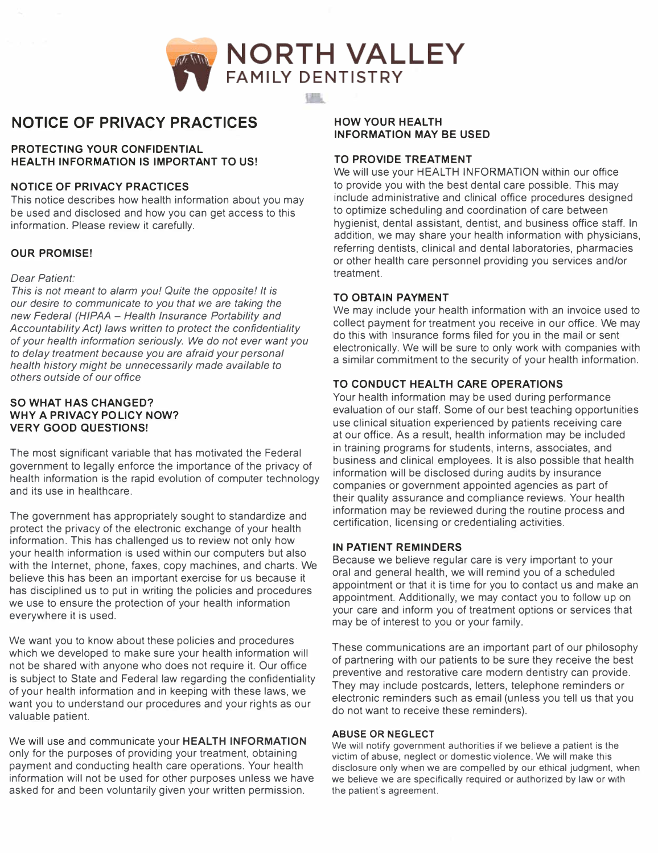

### **NOTICE OF PRIVACY PRACTICES**

#### **PROTECTING YOUR CONFIDENTIAL HEALTH INFORMATION IS IMPORTANT TO US!**

#### **NOTICE OF PRIVACY PRACTICES**

This notice describes how health information about you may be used and disclosed and how you can get access to this information. Please review it carefully.

#### **OUR PROMISE!**

#### *Dear Patient:*

*This is not meant to alarm you! Quite the opposite! It is our desire to communicate to you that we are taking the new Federal (HIPAA* - *Health Insurance Portability and Accountability Act) laws written to protect the confidentiality of your health information seriously. We do not ever want you to delay treatment because you are afraid your personal health history might be unnecessarily made available to others outside of our office* 

#### **SO WHAT HAS CHANGED? WHY A PRIVACY POLICY NOW? VERY GOOD QUESTIONS!**

The most significant variable that has motivated the Federal government to legally enforce the importance of the privacy of health information is the rapid evolution of computer technology and its use in healthcare.

The government has appropriately sought to standardize and protect the privacy of the electronic exchange of your health information. This has challenged us to review not only how your health information is used within our computers but also with the Internet, phone, faxes, copy machines, and charts. We believe this has been an important exercise for us because it has disciplined us to put in writing the policies and procedures we use to ensure the protection of your health information everywhere it is used.

We want you to know about these policies and procedures which we developed to make sure your health information will not be shared with anyone who does not require it. Our office is subject to State and Federal law regarding the confidentiality of your health information and in keeping with these laws, we want you to understand our procedures and your rights as our valuable patient.

We will use and communicate your **HEALTH INFORMATION** only for the purposes of providing your treatment, obtaining payment and conducting health care operations. Your health information will not be used for other purposes unless we have asked for and been voluntarily given your written permission.

#### **HOW YOUR HEALTH INFORMATION MAY BE USED**

#### **TO PROVIDE TREATMENT**

We will use your HEALTH INFORMATION within our office �o provide you with the best dental care possible. This may include administrative and clinical office procedures designed to optimize scheduling and coordination of care between hygienist, dental assistant, dentist, and business office staff. In addition, we may share your health information with physicians, referring dentists, clinical and dental laboratories, pharmacies or other health care personnel providing you services and/or treatment.

#### **TO OBTAIN PAYMENT**

We may include your health information with an invoice used to collect payment for treatment you receive in our office. We may do this with insurance forms filed for you in the mail or sent electronically. We will be sure to only work with companies with a similar commitment to the security of your health information.

#### **TO CONDUCT HEALTH CARE OPERATIONS**

Your health information may be used during performance evaluation of our staff. Some of our best teaching opportunities use clinical situation experienced by patients receiving care at our office. As a result, health information may be included in training programs for students, interns, associates, and business and clinical employees. It is also possible that health information will be disclosed during audits by insurance companies or government appointed agencies as part of their quality assurance and compliance reviews. Your health information may be reviewed during the routine process and certification, licensing or credentialing activities.

#### **IN PATIENT REMINDERS**

Because we believe regular care is very important to your oral and general health, we will remind you of a scheduled appointment or that it is time for you to contact us and make an appointment. Additionally, we may contact you to follow up on your care and inform you of treatment options or services that may be of interest to you or your family.

These communications are an important part of our philosophy of partnering with our patients to be sure they receive the best preventive and restorative care modern dentistry can provide. They may include postcards, letters, telephone reminders or electronic reminders such as email (unless you tell us that you do not want to receive these reminders).

#### **ABUSE OR NEGLECT**

We will notify government authorities if we believe a patient is the victim of abuse, neglect or domestic violence. We will make this disclosure only when we are compelled by our ethical judgment, when we believe we are specifically required or authorized by law or with the patient's agreement.